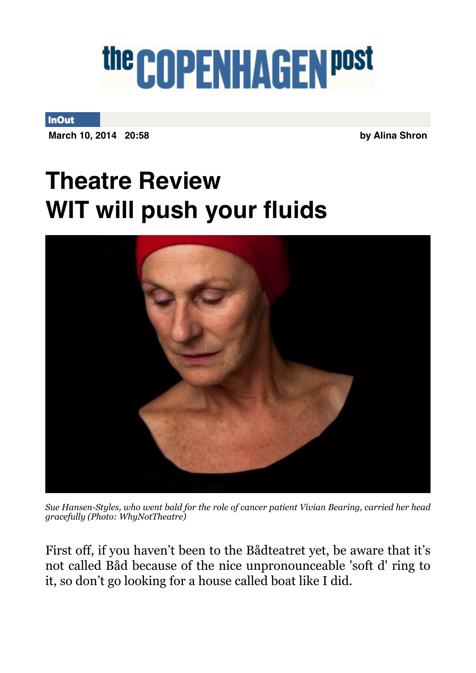## the COPENHAGEN post

**InOut** 

**March 10, 2014 20:58 by Alina Shron** 

## **Theatre Review WIT will push your fluids**



*Sue Hansen-Styles, who went bald for the role of cancer patient Vivian Bearing, carried her head gracefully (Photo: WhyNotTheatre)*

First off, if you haven't been to the Bådteatret yet, be aware that it's not called Båd because of the nice unpronounceable 'soft d' ring to it, so don't go looking for a house called boat like I did.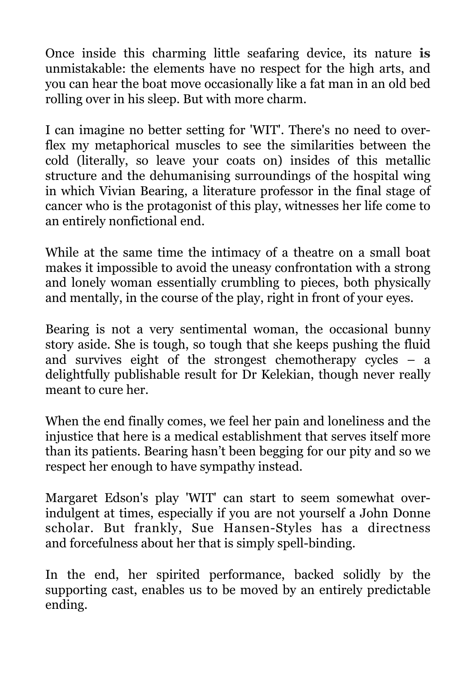Once inside this charming little seafaring device, its nature **is**  unmistakable: the elements have no respect for the high arts, and you can hear the boat move occasionally like a fat man in an old bed rolling over in his sleep. But with more charm.

I can imagine no better setting for 'WIT'. There's no need to overflex my metaphorical muscles to see the similarities between the cold (literally, so leave your coats on) insides of this metallic structure and the dehumanising surroundings of the hospital wing in which Vivian Bearing, a literature professor in the final stage of cancer who is the protagonist of this play, witnesses her life come to an entirely nonfictional end.

While at the same time the intimacy of a theatre on a small boat makes it impossible to avoid the uneasy confrontation with a strong and lonely woman essentially crumbling to pieces, both physically and mentally, in the course of the play, right in front of your eyes.

Bearing is not a very sentimental woman, the occasional bunny story aside. She is tough, so tough that she keeps pushing the fluid and survives eight of the strongest chemotherapy cycles – a delightfully publishable result for Dr Kelekian, though never really meant to cure her.

When the end finally comes, we feel her pain and loneliness and the injustice that here is a medical establishment that serves itself more than its patients. Bearing hasn't been begging for our pity and so we respect her enough to have sympathy instead.

Margaret Edson's play 'WIT' can start to seem somewhat overindulgent at times, especially if you are not yourself a John Donne scholar. But frankly, Sue Hansen-Styles has a directness and forcefulness about her that is simply spell-binding.

In the end, her spirited performance, backed solidly by the supporting cast, enables us to be moved by an entirely predictable ending.